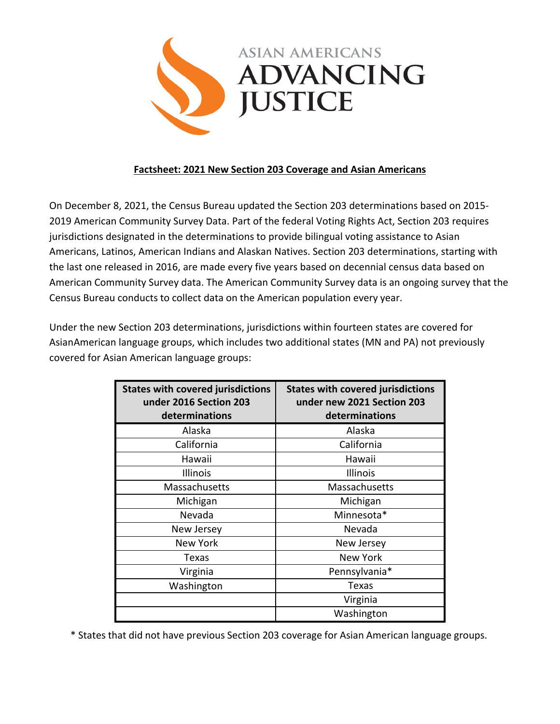

## **Factsheet: 2021 New Section 203 Coverage and Asian Americans**

On December 8, 2021, the Census Bureau updated the Section 203 determinations based on 2015- 2019 American Community Survey Data. Part of the federal Voting Rights Act, Section 203 requires jurisdictions designated in the determinations to provide bilingual voting assistance to Asian Americans, Latinos, American Indians and Alaskan Natives. Section 203 determinations, starting with the last one released in 2016, are made every five years based on decennial census data based on American Community Survey data. The American Community Survey data is an ongoing survey that the Census Bureau conducts to collect data on the American population every year.

Under the new Section 203 determinations, jurisdictions within fourteen states are covered for AsianAmerican language groups, which includes two additional states (MN and PA) not previously covered for Asian American language groups:

| <b>States with covered jurisdictions</b><br>under 2016 Section 203<br>determinations | <b>States with covered jurisdictions</b><br>under new 2021 Section 203<br>determinations |
|--------------------------------------------------------------------------------------|------------------------------------------------------------------------------------------|
| Alaska                                                                               | Alaska                                                                                   |
| California                                                                           | California                                                                               |
| Hawaii                                                                               | Hawaii                                                                                   |
| Illinois                                                                             | Illinois                                                                                 |
| Massachusetts                                                                        | Massachusetts                                                                            |
| Michigan                                                                             | Michigan                                                                                 |
| Nevada                                                                               | Minnesota*                                                                               |
| New Jersey                                                                           | Nevada                                                                                   |
| New York                                                                             | New Jersey                                                                               |
| Texas                                                                                | New York                                                                                 |
| Virginia                                                                             | Pennsylvania*                                                                            |
| Washington                                                                           | Texas                                                                                    |
|                                                                                      | Virginia                                                                                 |
|                                                                                      | Washington                                                                               |

\* States that did not have previous Section 203 coverage for Asian American language groups.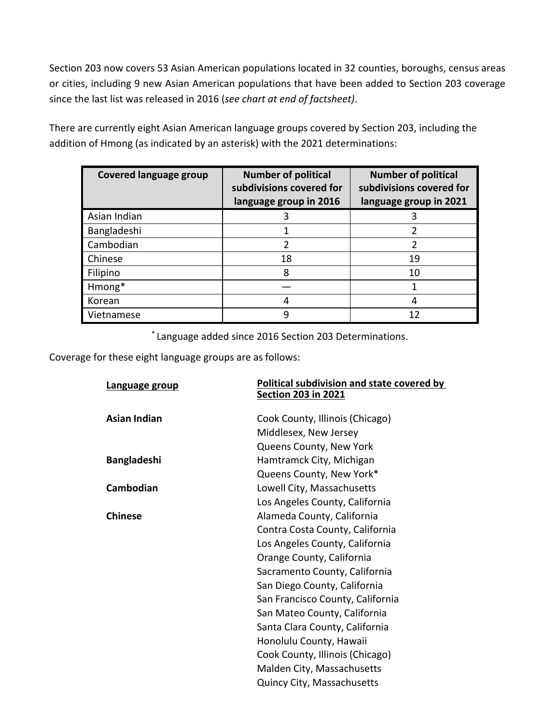Section 203 now covers 53 Asian American populations located in 32 counties, boroughs, census areas or cities, including 9 new Asian American populations that have been added to Section 203 coverage since the last list was released in 2016 (*see chart at end of factsheet)*.

There are currently eight Asian American language groups covered by Section 203, including the addition of Hmong (as indicated by an asterisk) with the 2021 determinations:

| <b>Covered language group</b> | <b>Number of political</b><br>subdivisions covered for<br>language group in 2016 | <b>Number of political</b><br>subdivisions covered for<br>language group in 2021 |
|-------------------------------|----------------------------------------------------------------------------------|----------------------------------------------------------------------------------|
| Asian Indian                  | 3                                                                                | 3                                                                                |
| Bangladeshi                   |                                                                                  |                                                                                  |
| Cambodian                     | 2                                                                                | $\mathfrak z$                                                                    |
| Chinese                       | 18                                                                               | 19                                                                               |
| Filipino                      | 8                                                                                | 10                                                                               |
| Hmong*                        |                                                                                  |                                                                                  |
| Korean                        | 4                                                                                | 4                                                                                |
| Vietnamese                    | g                                                                                | 12                                                                               |

\* Language added since 2016 Section 203 Determinations.

Coverage for these eight language groups are as follows:

| Language group      | <b>Political subdivision and state covered by</b> |
|---------------------|---------------------------------------------------|
|                     | <b>Section 203 in 2021</b>                        |
| <b>Asian Indian</b> | Cook County, Illinois (Chicago)                   |
|                     | Middlesex, New Jersey                             |
|                     | Queens County, New York                           |
| <b>Bangladeshi</b>  | Hamtramck City, Michigan                          |
|                     | Queens County, New York*                          |
| Cambodian           | Lowell City, Massachusetts                        |
|                     | Los Angeles County, California                    |
| <b>Chinese</b>      | Alameda County, California                        |
|                     | Contra Costa County, California                   |
|                     | Los Angeles County, California                    |
|                     | Orange County, California                         |
|                     | Sacramento County, California                     |
|                     | San Diego County, California                      |
|                     | San Francisco County, California                  |
|                     | San Mateo County, California                      |
|                     | Santa Clara County, California                    |
|                     | Honolulu County, Hawaii                           |
|                     | Cook County, Illinois (Chicago)                   |
|                     | Malden City, Massachusetts                        |
|                     | Quincy City, Massachusetts                        |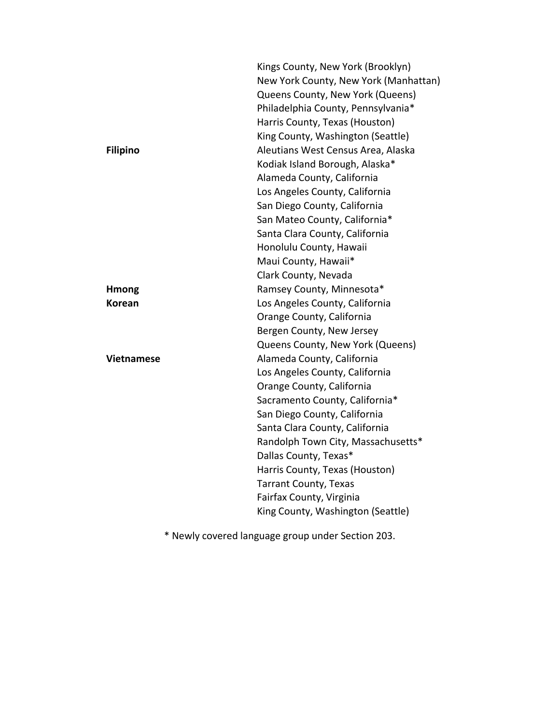|                   | Kings County, New York (Brooklyn)     |
|-------------------|---------------------------------------|
|                   | New York County, New York (Manhattan) |
|                   | Queens County, New York (Queens)      |
|                   | Philadelphia County, Pennsylvania*    |
|                   | Harris County, Texas (Houston)        |
|                   | King County, Washington (Seattle)     |
| <b>Filipino</b>   | Aleutians West Census Area, Alaska    |
|                   | Kodiak Island Borough, Alaska*        |
|                   | Alameda County, California            |
|                   | Los Angeles County, California        |
|                   | San Diego County, California          |
|                   | San Mateo County, California*         |
|                   | Santa Clara County, California        |
|                   | Honolulu County, Hawaii               |
|                   | Maui County, Hawaii*                  |
|                   | Clark County, Nevada                  |
| <b>Hmong</b>      | Ramsey County, Minnesota*             |
| Korean            | Los Angeles County, California        |
|                   | Orange County, California             |
|                   | Bergen County, New Jersey             |
|                   | Queens County, New York (Queens)      |
| <b>Vietnamese</b> | Alameda County, California            |
|                   | Los Angeles County, California        |
|                   | Orange County, California             |
|                   | Sacramento County, California*        |
|                   | San Diego County, California          |
|                   | Santa Clara County, California        |
|                   | Randolph Town City, Massachusetts*    |
|                   | Dallas County, Texas*                 |
|                   | Harris County, Texas (Houston)        |
|                   | <b>Tarrant County, Texas</b>          |
|                   | Fairfax County, Virginia              |
|                   | King County, Washington (Seattle)     |
|                   |                                       |

\* Newly covered language group under Section 203.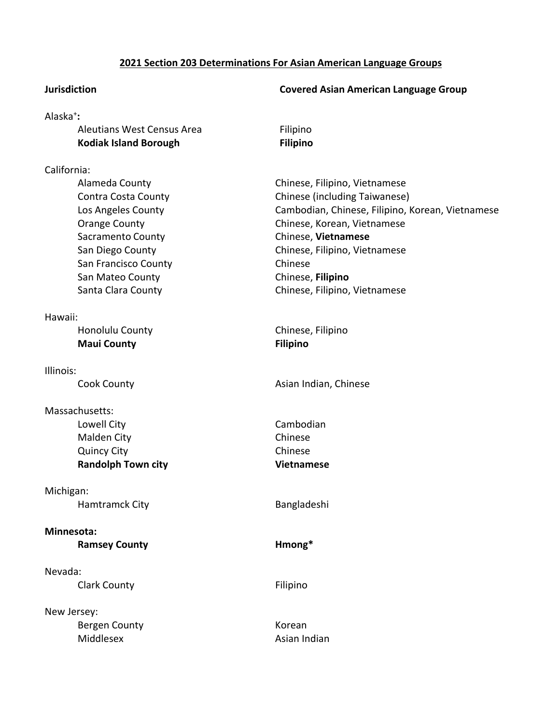#### **2021 Section 203 Determinations For Asian American Language Groups**

### Alaska+ **:**

| Aleutians West Census Area |
|----------------------------|
| Kodiak Island Borough      |

#### California:

| Alameda County       |  |  |
|----------------------|--|--|
| Contra Costa County  |  |  |
| Los Angeles County   |  |  |
| <b>Orange County</b> |  |  |
| Sacramento County    |  |  |
| San Diego County     |  |  |
| San Francisco County |  |  |
| San Mateo County     |  |  |
| Santa Clara County   |  |  |

Hawaii:

| Honolulu County    |
|--------------------|
| <b>Maui County</b> |

Illinois:

# Massachusetts:

| <b>Malden City</b>        |
|---------------------------|
| <b>Quincy City</b>        |
| <b>Randolph Town city</b> |

Michigan: Hamtramck City **Bangladeshi** 

# **Minnesota:**

**Ramsey County Hmong\***

Nevada: Clark County **Filipino** 

New Jersey: Bergen County **Korean** Middlesex Asian Indian

#### **Jurisdiction Covered Asian American Language Group**

**Filipino Filipino** 

Chinese, Filipino, Vietnamese Chinese (including Taiwanese) Cambodian, Chinese, Filipino, Korean, Vietnamese Chinese, Korean, Vietnamese **Chinese**, **Vietnamese** Chinese, Filipino, Vietnamese Chinese **Chinese, Filipino** Chinese, Filipino, Vietnamese

y and Chinese, Filipino **Filipino** 

Cook County **Asian Indian, Chinese** Cook County

Lowell City **Cambodian** Chinese Chinese **Randolph Town city Vietnamese**